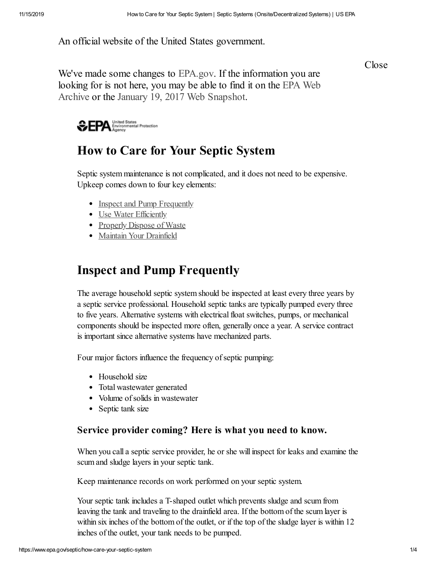An official website of the United States government.

Close

We've made some changes to [EPA.gov](https://www.epa.gov/). If the information you are looking for is not here, you may be able to find it on the EPA Web Archive or the January 19, 2017 Web [Snapshot.](https://archive.epa.gov/)



# **How to Care for Your Septic System**

Septic system maintenance is not complicated, and it does not need to be expensive. Upkeep comes down to four key elements:

- [Inspect and Pump Frequently](#page-0-0)
- [Use Water Efficiently](#page-1-0)
- [Properly Dispose of Waste](#page-2-0)
- [Maintain Your Drainfield](#page-3-0)

# <span id="page-0-0"></span>**Inspect and Pump Frequently**

The average household septic system should be inspected at least every three years by a septic service professional. Household septic tanks are typically pumped every three to five years. Alternative systems with electrical float switches, pumps, or mechanical components should be inspected more often, generally once a year. A service contract is important since alternative systems have mechanized parts.

Four major factors influence the frequency of septic pumping:

- Household size
- Total wastewater generated
- Volume of solids in wastewater
- Septic tank size

## **Service provider coming? Here is what you need to know.**

When you call a septic service provider, he or she will inspect for leaks and examine the scum and sludge layers in your septic tank.

Keep maintenance records on work performed on your septic system.

Your septic tank includes a T-shaped outlet which prevents sludge and scum from leaving the tank and traveling to the drainfield area. If the bottom of the scum layer is within six inches of the bottom of the outlet, or if the top of the sludge layer is within 12 inches of the outlet, your tank needs to be pumped.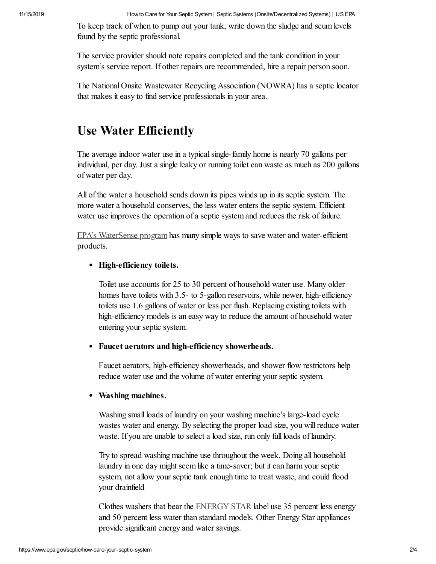To keep track of when to pump out your tank, write down the sludge and scum levels found by the septic professional.

The service provider should note repairs completed and the tank condition in your system's service report. If other repairs are recommended, hire a repair person soon.

The National Onsite Wastewater Recycling Association (NOWRA) has a septic locator that makes it easy to find service professionals in your area.

## <span id="page-1-0"></span>**Use Water Efficiently**

The average indoor water use in a typical single-family home is nearly 70 gallons per individual, per day. Just a single leaky or running toilet can waste as much as 200 gallons of water per day.

All of the water a household sends down its pipes winds up in its septic system. The more water a household conserves, the less water enters the septic system. Efficient water use improves the operation of a septic system and reduces the risk of failure.

[EPA's WaterSense program](https://www.epa.gov/watersense) has many simple ways to save water and water-efficient products.

### **High-efficiency toilets.**

Toilet use accounts for 25 to 30 percent of household water use. Many older homes have toilets with 3.5- to 5-gallon reservoirs, while newer, high-efficiency toilets use 1.6 gallons of water or less per flush. Replacing existing toilets with high-efficiency models is an easy way to reduce the amount of household water entering your septic system.

#### **Faucet aerators and high-efficiency showerheads.**

Faucet aerators, high-efficiency showerheads, and shower flow restrictors help reduce water use and the volume of water entering your septic system.

#### **Washing machines.**

Washing small loads of laundry on your washing machine's large-load cycle wastes water and energy. By selecting the proper load size, you will reduce water waste. If you are unable to select a load size, run only full loads of laundry.

Try to spread washing machine use throughout the week. Doing all household laundry in one day might seem like a time-saver; but it can harm your septic system, not allow your septic tank enough time to treat waste, and could flood your drainfield

Clothes washers that bear the [ENERGY STAR](http://www.energystar.gov/) label use 35 percent less energy and 50 percent less water than standard models. Other Energy Star appliances provide significant energy and water savings.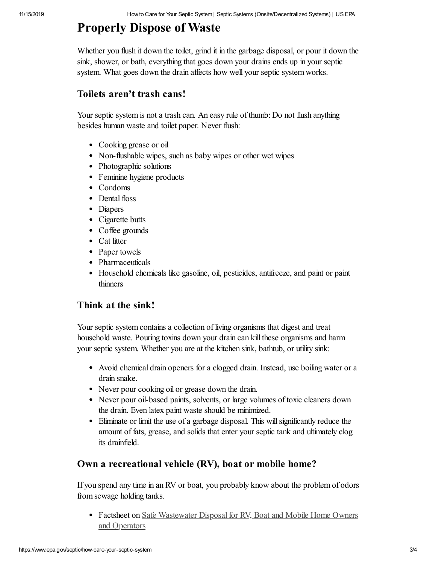## <span id="page-2-0"></span>**Properly Dispose of Waste**

Whether you flush it down the toilet, grind it in the garbage disposal, or pour it down the sink, shower, or bath, everything that goes down your drains ends up in your septic system. What goes down the drain affects how well your septic system works.

### **Toilets aren't trash cans!**

Your septic system is not a trash can. An easy rule of thumb: Do not flush anything besides human waste and toilet paper. Never flush:

- Cooking grease or oil
- Non-flushable wipes, such as baby wipes or other wet wipes
- Photographic solutions
- Feminine hygiene products
- Condoms
- Dental floss
- Diapers
- Cigarette butts
- Coffee grounds
- Cat litter
- Paper towels
- Pharmaceuticals
- Household chemicals like gasoline, oil, pesticides, antifreeze, and paint or paint thinners

## **Think at the sink!**

Your septic system contains a collection of living organisms that digest and treat household waste. Pouring toxins down your drain can kill these organisms and harm your septic system. Whether you are at the kitchen sink, bathtub, or utility sink:

- Avoid chemical drain openers for a clogged drain. Instead, use boiling water or a drain snake.
- Never pour cooking oil or grease down the drain.
- Never pour oil-based paints, solvents, or large volumes of toxic cleaners down the drain. Even latex paint waste should be minimized.
- Eliminate or limit the use of a garbage disposal. This will significantly reduce the amount of fats, grease, and solids that enter your septic tank and ultimately clog its drainfield.

## **Own a recreational vehicle (RV), boat or mobile home?**

If you spend any time in an RV or boat, you probably know about the problem of odors from sewage holding tanks.

• Factsheet on <u>[Safe Wastewater Disposal for RV, Boat and Mobile Home Owners](https://www.epa.gov/septic/safe-wastewater-disposal-rv-boat-and-mobile-home-owners-and-operators)</u> and Operators